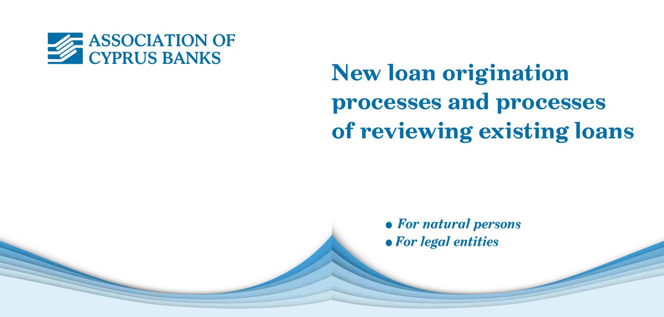

# **New loan origination processes and processes of reviewing existing loans**

<sup>l</sup>*For natural persons* l *For legal entities*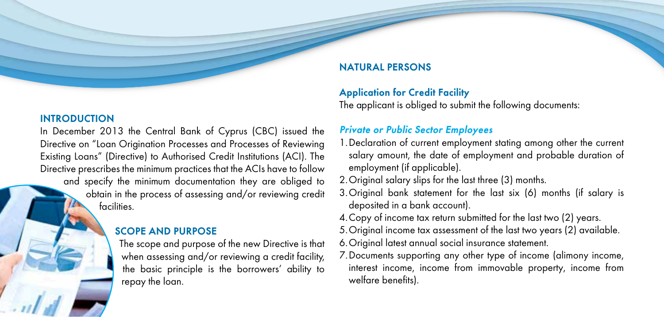#### **INTRODUCTION**

In December 2013 the Central Bank of Cyprus (CBC) issued the Directive on "Loan Origination Processes and Processes of Reviewing Existing Loans" (Directive) to Authorised Credit Institutions (ACI). The Directive prescribes the minimum practices that the ACIs have to follow and specify the minimum documentation they are obliged to obtain in the process of assessing and/or reviewing credit facilities.

## **SCOPE AND PURPOSE**

The scope and purpose of the new Directive is that when assessing and/or reviewing a credit facility, the basic principle is the borrowers' ability to repay the loan.

# **NATURAL PERSONS**

## **Application for Credit Facility**

The applicant is obliged to submit the following documents:

## *Private or Public Sector Employees*

- 1.Declaration of current employment stating among other the current salary amount, the date of employment and probable duration of employment (if applicable).
- 2.Original salary slips for the last three (3) months.
- 3.Original bank statement for the last six (6) months (if salary is deposited in a bank account).
- 4.Copy of income tax return submitted for the last two (2) years.
- 5.Original income tax assessment of the last two years (2) available.
- 6.Original latest annual social insurance statement.
- 7.Documents supporting any other type of income (alimony income, interest income, income from immovable property, income from welfare benefits).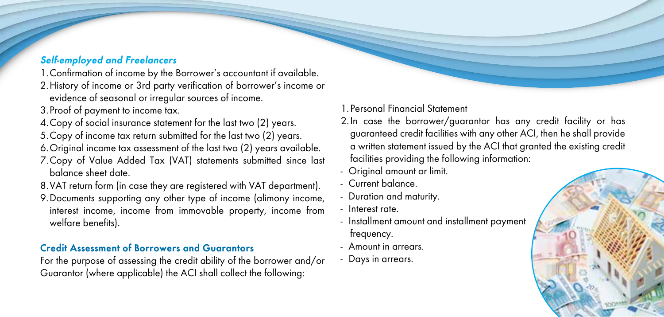# *Self-employed and Freelancers*

- 1.Confirmation of income by the Borrower's accountant if available.
- 2.History of income or 3rd party verification of borrower's income or evidence of seasonal or irregular sources of income.
- 3.Proof of payment to income tax.
- 4.Copy of social insurance statement for the last two (2) years.
- 5.Copy of income tax return submitted for the last two (2) years.
- 6.Original income tax assessment of the last two (2) years available.
- 7.Copy of Value Added Tax (VAT) statements submitted since last balance sheet date.
- 8.VAT return form (in case they are registered with VAT department).
- 9.Documents supporting any other type of income (alimony income, interest income, income from immovable property, income from welfare benefits).

# **Credit Assessment of Borrowers and Guarantors**

For the purpose of assessing the credit ability of the borrower and/or Guarantor (where applicable) the ACI shall collect the following:

# 1.Personal Financial Statement

- 2.In case the borrower/guarantor has any credit facility or has guaranteed credit facilities with any other ACI, then he shall provide a written statement issued by the ACI that granted the existing credit facilities providing the following information:
- Original amount or limit.
- Current balance.
- Duration and maturity.
- Interest rate.
- Installment amount and installment payment frequency.
- Amount in arrears.
- Days in arrears.

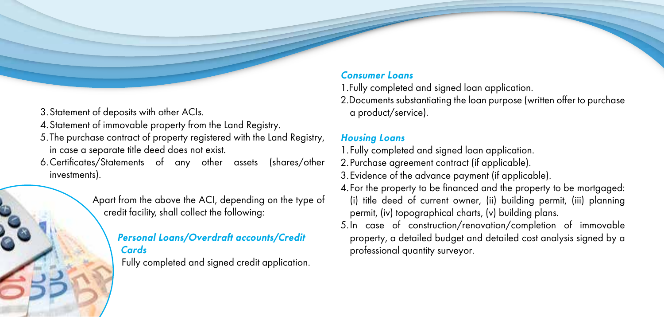- 3.Statement of deposits with other ACIs.
- 4.Statement of immovable property from the Land Registry.
- 5.The purchase contract of property registered with the Land Registry, in case a separate title deed does not exist.
- 6.Certificates/Statements of any other assets (shares/other investments).

Apart from the above the ACI, depending on the type of credit facility, shall collect the following:

# *Personal Loans/Overdraft accounts/Credit Cards*

Fully completed and signed credit application.

## *Consumer Loans*

1.Fully completed and signed loan application.

2.Documents substantiating the loan purpose (written offer to purchase a product/service).

## *Housing Loans*

- 1.Fully completed and signed loan application.
- 2.Purchase agreement contract (if applicable).
- 3.Evidence of the advance payment (if applicable).
- 4.For the property to be financed and the property to be mortgaged: (i) title deed of current owner, (ii) building permit, (iii) planning permit, (iv) topographical charts, (v) building plans.
- 5.In case of construction/renovation/completion of immovable property, a detailed budget and detailed cost analysis signed by a professional quantity surveyor.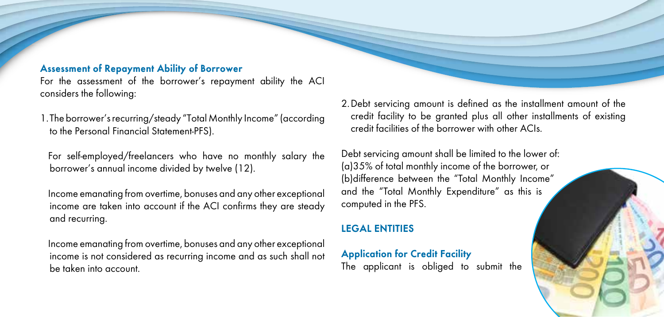#### **Assessment of Repayment Ability of Borrower**

For the assessment of the borrower's repayment ability the ACI considers the following:

1.The borrower's recurring/steady "Total Monthly Income" (according to the Personal Financial Statement-PFS).

For self-employed/freelancers who have no monthly salary the borrower's annual income divided by twelve (12).

Income emanating from overtime, bonuses and any other exceptional income are taken into account if the ACI confirms they are steady and recurring.

Income emanating from overtime, bonuses and any other exceptional income is not considered as recurring income and as such shall not be taken into account.

2.Debt servicing amount is defined as the installment amount of the credit facility to be granted plus all other installments of existing credit facilities of the borrower with other ACIs.

Debt servicing amount shall be limited to the lower of: (a)35% of total monthly income of the borrower, or (b)difference between the "Total Monthly Income" and the "Total Monthly Expenditure" as this is computed in the PFS.

## **LEGAL ENTITIES**

**Application for Credit Facility** The applicant is obliged to submit the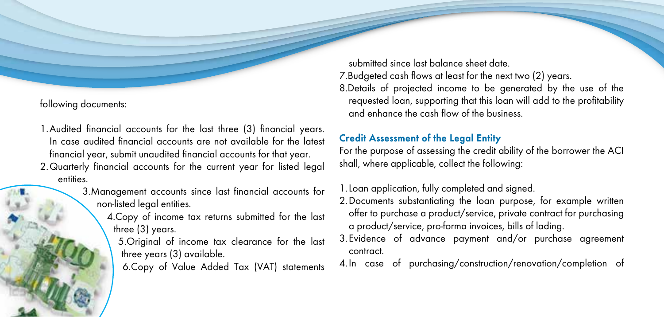following documents:

- 1.Audited financial accounts for the last three (3) financial years. In case audited financial accounts are not available for the latest financial year, submit unaudited financial accounts for that year.
- 2.Quarterly financial accounts for the current year for listed legal entities.
	- 3.Management accounts since last financial accounts for non-listed legal entities.
		- 4.Copy of income tax returns submitted for the last three (3) years.
			- 5.Original of income tax clearance for the last three years (3) available.
			- 6.Copy of Value Added Tax (VAT) statements

submitted since last balance sheet date. 7.Budgeted cash flows at least for the next two (2) years. 8.Details of projected income to be generated by the use of the requested loan, supporting that this loan will add to the profitability and enhance the cash flow of the business.

# **Credit Assessment of the Legal Entity**

For the purpose of assessing the credit ability of the borrower the ACI shall, where applicable, collect the following:

1.Loan application, fully completed and signed.

- 2.Documents substantiating the loan purpose, for example written offer to purchase a product/service, private contract for purchasing a product/service, pro-forma invoices, bills of lading.
- 3.Evidence of advance payment and/or purchase agreement contract.
- 4.In case of purchasing/construction/renovation/completion of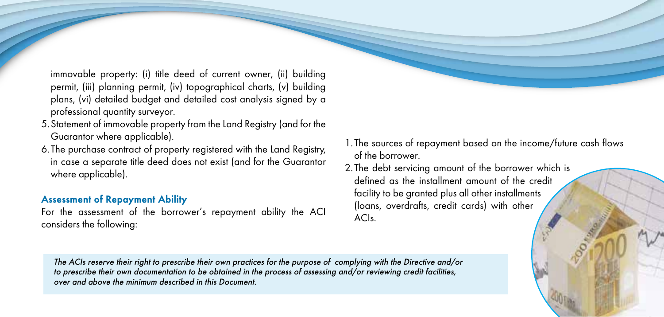immovable property: (i) title deed of current owner, (ii) building permit, (iii) planning permit, (iv) topographical charts, (v) building plans, (vi) detailed budget and detailed cost analysis signed by a professional quantity surveyor.

- 5.Statement of immovable property from the Land Registry (and for the Guarantor where applicable).
- 6.The purchase contract of property registered with the Land Registry, in case a separate title deed does not exist (and for the Guarantor where applicable).

# **Assessment of Repayment Ability**

For the assessment of the borrower's repayment ability the ACI considers the following:

- 1.The sources of repayment based on the income/future cash flows of the borrower.
- 2.The debt servicing amount of the borrower which is defined as the installment amount of the credit facility to be granted plus all other installments (loans, overdrafts, credit cards) with other ACIs.

*The ACIs reserve their right to prescribe their own practices for the purpose of complying with the Directive and/or to prescribe their own documentation to be obtained in the process of assessing and/or reviewing credit facilities, over and above the minimum described in this Document.*